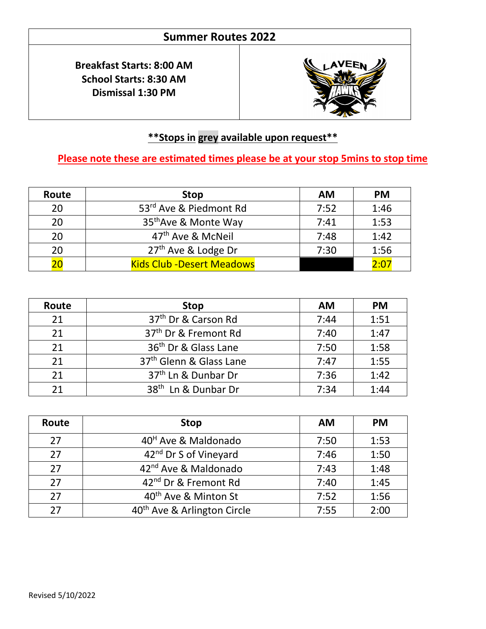## **Summer Routes 2022**

**Breakfast Starts: 8:00 AM School Starts: 8:30 AM Dismissal 1:30 PM**



## **\*\*Stops in grey available upon request\*\***

 $\overline{\phantom{0}}$ 

## **Please note these are estimated times please be at your stop 5mins to stop time**

| Route | <b>Stop</b>                       | <b>AM</b> | <b>PM</b> |
|-------|-----------------------------------|-----------|-----------|
| 20    | 53rd Ave & Piedmont Rd            | 7:52      | 1:46      |
| 20    | 35 <sup>th</sup> Ave & Monte Way  | 7:41      | 1:53      |
| 20    | 47 <sup>th</sup> Ave & McNeil     | 7:48      | 1:42      |
| 20    | $27th$ Ave & Lodge Dr             | 7:30      | 1:56      |
|       | <b>Kids Club - Desert Meadows</b> |           | 2:01      |

| Route | <b>Stop</b>                         | <b>AM</b> | <b>PM</b> |
|-------|-------------------------------------|-----------|-----------|
| 21    | 37 <sup>th</sup> Dr & Carson Rd     | 7:44      | 1:51      |
| 21    | 37 <sup>th</sup> Dr & Fremont Rd    | 7:40      | 1:47      |
| 21    | 36 <sup>th</sup> Dr & Glass Lane    | 7:50      | 1:58      |
| 21    | 37 <sup>th</sup> Glenn & Glass Lane | 7:47      | 1:55      |
| 21    | 37 <sup>th</sup> Ln & Dunbar Dr     | 7:36      | 1:42      |
| 21    | 38 <sup>th</sup> Ln & Dunbar Dr     | 7:34      | 1:44      |

| Route | <b>Stop</b>                             | <b>AM</b> | <b>PM</b> |
|-------|-----------------------------------------|-----------|-----------|
| 27    | 40 <sup>H</sup> Ave & Maldonado         | 7:50      | 1:53      |
| 27    | 42 <sup>nd</sup> Dr S of Vineyard       | 7:46      | 1:50      |
| 27    | 42 <sup>nd</sup> Ave & Maldonado        | 7:43      | 1:48      |
| 27    | 42 <sup>nd</sup> Dr & Fremont Rd        | 7:40      | 1:45      |
| 27    | 40 <sup>th</sup> Ave & Minton St        | 7:52      | 1:56      |
| 27    | 40 <sup>th</sup> Ave & Arlington Circle | 7:55      | 2:00      |